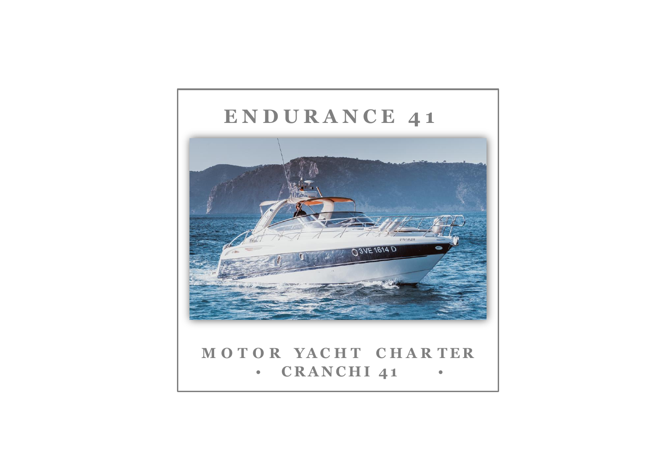

# **M O T O R YA C H T C H A R T E R** • **CRANCHI 41** •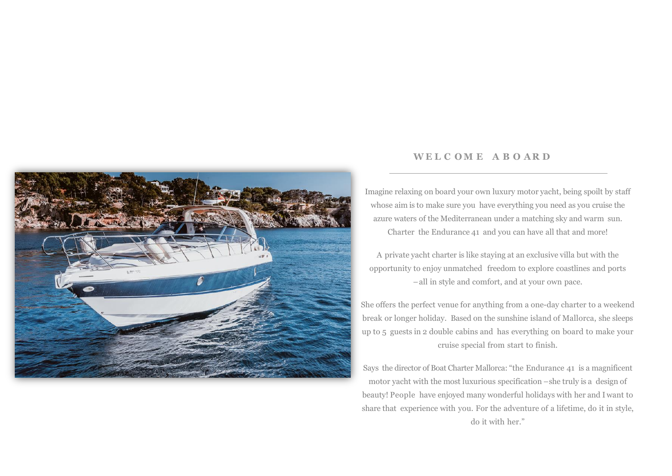

## **W E L C OM E A B O AR D**

Imagine relaxing on board your own luxury motor yacht, being spoilt by staff whose aim is to make sure you have everything you need as you cruise the azure waters of the Mediterranean under a matching sky and warm sun. Charter the Endurance 41 and you can have all that and more!

A private yacht charter is like staying at an exclusive villa but with the opportunity to enjoy unmatched freedom to explore coastlines and ports –all in style and comfort, and at your own pace.

She offers the perfect venue for anything from a one-day charter to a weekend break or longer holiday. Based on the sunshine island of Mallorca, she sleeps up to 5 guests in 2 double cabins and has everything on board to make your cruise special from start to finish.

Says the director of Boat Charter Mallorca: "the Endurance 41 is a magnificent motor yacht with the most luxurious specification –she truly is a design of beauty! People have enjoyed many wonderful holidays with her and I want to share that experience with you. For the adventure of a lifetime, do it in style, do it with her."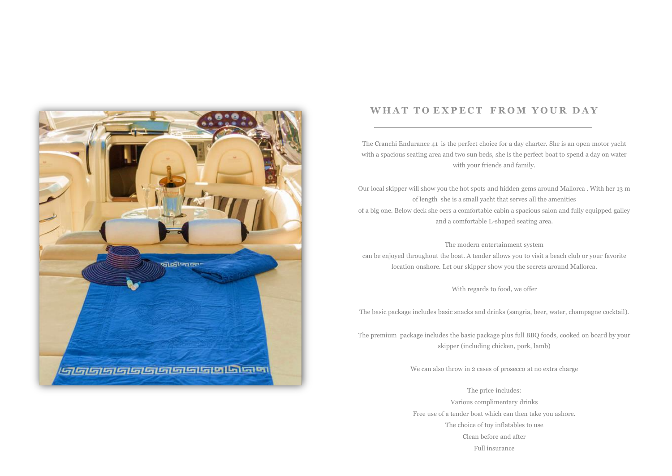

#### WHAT TO EXPECT FROM YOUR DAY

The Cranchi Endurance 41 is the perfect choice for a day charter. She is an open motor yacht with a spacious seating area and two sun beds, she is the perfect boat to spend a day on water with your friends and family.

Our local skipper will show you the hot spots and hidden gems around Mallorca . With her 13 m of length she is a small yacht that serves all the amenities of a big one. Below deck she oers a comfortable cabin a spacious salon and fully equipped galley and a comfortable L-shaped seating area.

The modern entertainment system can be enjoyed throughout the boat. A tender allows you to visit a beach club or your favorite location onshore. Let our skipper show you the secrets around Mallorca.

With regards to food, we offer

The basic package includes basic snacks and drinks (sangria, beer, water, champagne cocktail).

The premium package includes the basic package plus full BBQ foods, cooked on board by your skipper (including chicken, pork, lamb)

We can also throw in 2 cases of prosecco at no extra charge

The price includes: Various complimentary drinks Free use of a tender boat which can then take you ashore. The choice of toy inflatables to use Clean before and after Full insurance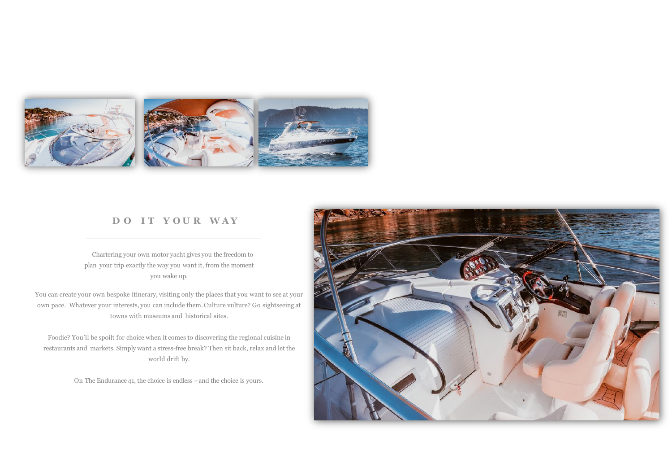

#### **D O I T Y O U R W A Y**

Chartering your own motor yacht gives you the freedom to plan your trip exactly the way you want it, from the moment you wake up.

You can create your own bespoke itinerary, visiting only the places that you want to see at your own pace. Whatever your interests, you can include them. Culture vulture? Go sightseeing at towns with museums and historical sites.

Foodie? You'll be spoilt for choice when it comes to discovering the regional cuisine in restaurants and markets. Simply want a stress-free break? Then sit back, relax and let the world drift by.

On The Endurance 41, the choice is endless –and the choice is yours.

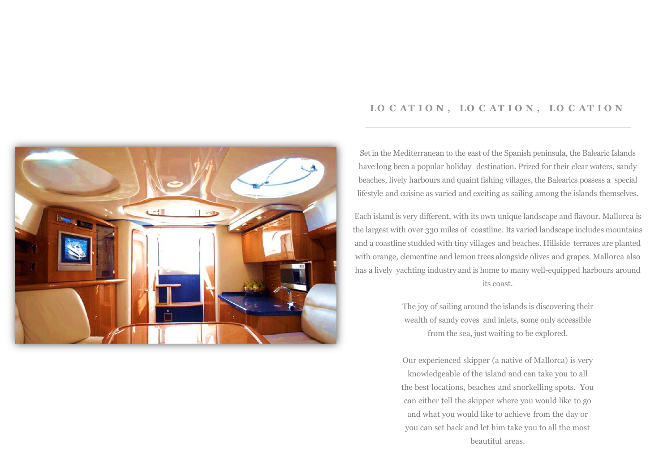

### **L O C A T I O N , L O C A T I O N , L O C A T I O N**

Set in the Mediterranean to the east of the Spanish peninsula, the Balearic Islands have long been a popular holiday destination. Prized for their clear waters, sandy beaches, lively harbours and quaint fishing villages, the Balearics possess a special lifestyle and cuisine as varied and exciting as sailing among the islands themselves.

Each island is very different, with its own unique landscape and flavour. Mallorca is the largest with over 330 miles of coastline. Its varied landscape includes mountains and a coastline studded with tiny villages and beaches. Hillside terraces are planted with orange, clementine and lemon trees alongside olives and grapes. Mallorca also has a lively yachting industry and is home to many well-equipped harbours around its coast.

> The joy of sailing around the islands is discovering their wealth of sandy coves and inlets, some only accessible from the sea, just waiting to be explored.

> Our experienced skipper (a native of Mallorca) is very knowledgeable of the island and can take you to all the best locations, beaches and snorkelling spots. You can either tell the skipper where you would like to go and what you would like to achieve from the day or you can set back and let him take you to all the most beautiful areas.